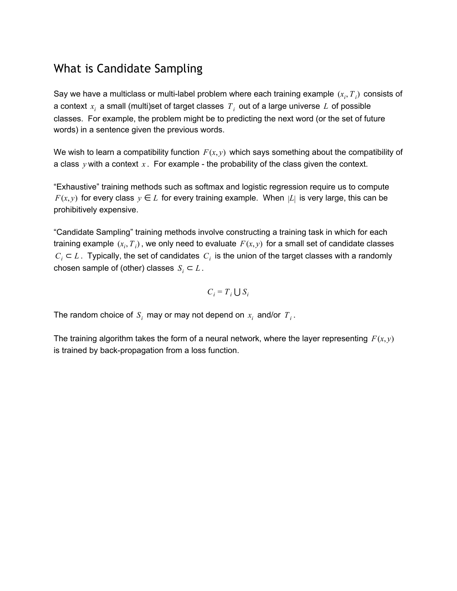#### What is Candidate Sampling

Say we have a multiclass or multi-label problem where each training example  $\left(x_{i}, T_{\ i}\right)$  consists of a context *x<sup>i</sup>* a small (multi)set of target classes *T<sup>i</sup>* out of a large universe *L* of possible classes. For example, the problem might be to predicting the next word (or the set of future words) in a sentence given the previous words.

We wish to learn a compatibility function  $F(x, y)$  which says something about the compatibility of a class  $y$  with a context  $x$ . For example - the probability of the class given the context.

"Exhaustive" training methods such as softmax and logistic regression require us to compute *F*(*x*, *y*) for every class  $y \in L$  for every training example. When  $|L|$  is very large, this can be prohibitively expensive.

"Candidate Sampling" training methods involve constructing a training task in which for each training example  $(x_i, T_i)$ , we only need to evaluate  $F(x, y)$  for a small set of candidate classes *C*<sub>*i*</sub> ⊂ *L*. Typically, the set of candidates  $C_i$  is the union of the target classes with a randomly chosen sample of (other) classes  $S_i \subset L$ .

$$
C_i = T_i \bigcup S_i
$$

The random choice of  $S_i$  may or may not depend on  $x_i$  and/or  $T_i$ .

The training algorithm takes the form of a neural network, where the layer representing  $F(x, y)$ is trained by back-propagation from a loss function.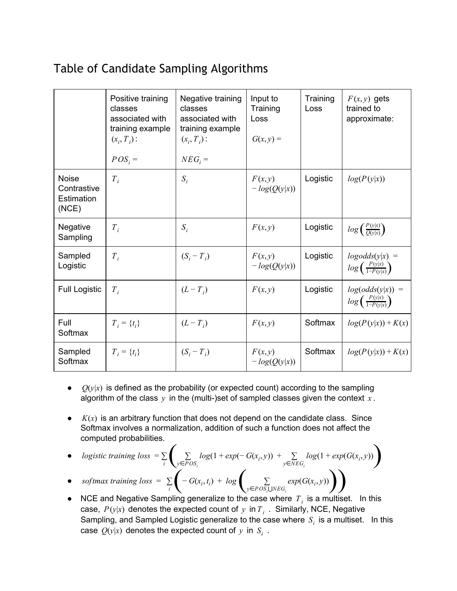# Table of Candidate Sampling Algorithms

|                                                    | Positive training<br>classes<br>associated with<br>training example<br>$(x_i, T_i)$ :<br>$POS_i =$ | Negative training<br>classes<br>associated with<br>training example<br>$(x_i, T_i)$ :<br>$NEG_{i}$ = | Input to<br>Training<br>Loss<br>$G(x, y) =$ | Training<br>Loss | $F(x, y)$ gets<br>trained to<br>approximate:                    |
|----------------------------------------------------|----------------------------------------------------------------------------------------------------|------------------------------------------------------------------------------------------------------|---------------------------------------------|------------------|-----------------------------------------------------------------|
| <b>Noise</b><br>Contrastive<br>Estimation<br>(NCE) | $T_i$                                                                                              | $S_i$                                                                                                | F(x, y)<br>$-log(Q(y x))$                   | Logistic         | log(P(y x))                                                     |
| Negative<br>Sampling                               | $T_i$                                                                                              | $S_i$                                                                                                | F(x, y)                                     | Logistic         | $log\left(\frac{P(y x)}{Q(y x)}\right)$                         |
| Sampled<br>Logistic                                | $T_i$                                                                                              | $(S_i - T_i)$                                                                                        | F(x, y)<br>$-log(Q(y x))$                   | Logistic         | $logodds(y x) =$<br>$log\left(\frac{P(y x)}{1-P(y x)}\right)$   |
| <b>Full Logistic</b>                               | $T_i$                                                                                              | $(L-T_i)$                                                                                            | F(x, y)                                     | Logistic         | $log(odds(y x)) =$<br>$log\left(\frac{P(y x)}{1-P(y x)}\right)$ |
| Full<br>Softmax                                    | $T_i = \{t_i\}$                                                                                    | $(L-T_i)$                                                                                            | F(x, y)                                     | Softmax          | $log(P(y x))$ + $K(x)$                                          |
| Sampled<br>Softmax                                 | $T_i = \{t_i\}$                                                                                    | $(S_i-T_i)$                                                                                          | F(x, y)<br>$-log(Q(y x))$                   | Softmax          | $log(P(y x))$ + $K(x)$                                          |

- $\bullet$   $Q(y|x)$  is defined as the probability (or expected count) according to the sampling algorithm of the class  $y$  in the (multi-)set of sampled classes given the context  $x$ .
- $\bullet$   $K(x)$  is an arbitrary function that does not depend on the candidate class. Since Softmax involves a normalization, addition of such a function does not affect the computed probabilities.
- $\bullet$  *logistic training loss* =  $\sum$  $\sum_{i} \sum_{y \in POS_{i}} log(1 + exp(-G(x_{i}, y)) + \sum_{y \in NEG_{i}} log(1 + exp(G(x_{i}, y)))$ ∑ *y*∈*POS<sup>i</sup>*  $log(1 + exp(-G(x_i, y)) + \sum$  $\sum_{y \in NEG_i} log(1 + exp(G(x_i, y)))$

 $\bullet$  *softmax training loss* =  $\sum$  $\sum_i$   $\left(-G(x_i, t_i) + log\right)$  $G(x_i, t)$  $\sum_{i,j}$  +  $log \left( \sum_{y \in POS_i \cup NEG_i} exp(G(x_i, y)) \right)$ ∑  $\sum_{y \in POS_i \cup NEG_i} exp(G(x_i, y))$ 

NCE and Negative Sampling generalize to the case where  $T_i$  is a multiset. In this case,  $P(y|x)$  denotes the expected count of  $y$  in  $T_i$  . Similarly, NCE, Negative Sampling, and Sampled Logistic generalize to the case where  $S_i$  is a multiset. In this case  $Q(y|x)$  denotes the expected count of  $y$  in  $S_i$  .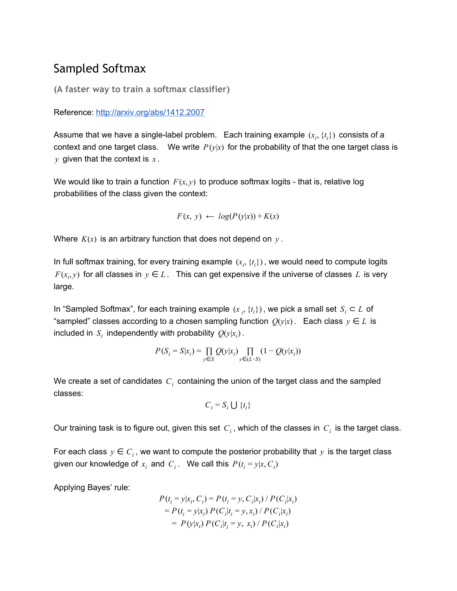#### Sampled Softmax

**(A faster way to train a softmax classifier)**

Reference: <http://arxiv.org/abs/1412.2007>

Assume that we have a single-label problem. Each training example  $(x_i, \{t_i\})$  consists of a context and one target class. We write  $P(y|x)$  for the probability of that the one target class is *y* given that the context is *x* .

We would like to train a function  $F(x, y)$  to produce softmax logits - that is, relative log probabilities of the class given the context:

$$
F(x, y) \leftarrow log(P(y|x)) + K(x)
$$

Where  $K(x)$  is an arbitrary function that does not depend on  $y$ .

In full softmax training, for every training example  $(x_i, \{t_i\})$ , we would need to compute logits *F*( $x_i, y$ ) for all classes in  $y \in L$ . This can get expensive if the universe of classes L is very large.

In "Sampled Softmax", for each training example  $(x_{i}, \{t_{i}\})$ , we pick a small set  $S_{i} \subset L$  of "sampled" classes according to a chosen sampling function  $Q(y|x)$ . Each class  $y \in L$  is included in  $S_i$  independently with probability  $Q(y|x_i)$ .

$$
P(S_i=S|x_i)=\prod_{y\in S}Q(y|x_i)\prod_{y\in(L-S)}(1-Q(y|x_i))
$$

We create a set of candidates *C<sup>i</sup>* containing the union of the target class and the sampled classes:

$$
C_i = S_i \cup \{t_i\}
$$

Our training task is to figure out, given this set  $\,C_i$  , which of the classes in  $\,C_i\,$  is the target class.

For each class  $y \in C_i$ , we want to compute the posterior probability that y is the target class given our knowledge of  $x_i$  and  $C_i$ . We call this  $P(t_i = y | x, C_i)$ 

Applying Bayes' rule:

$$
P(t_i = y | x_i, C_i) = P(t_i = y, C_i | x_i) / P(C_i | x_i)
$$
  
= 
$$
P(t_i = y | x_i) P(C_i | t_i = y, x_i) / P(C_i | x_i)
$$
  
= 
$$
P(y | x_i) P(C_i | t_i = y, x_i) / P(C_i | x_i)
$$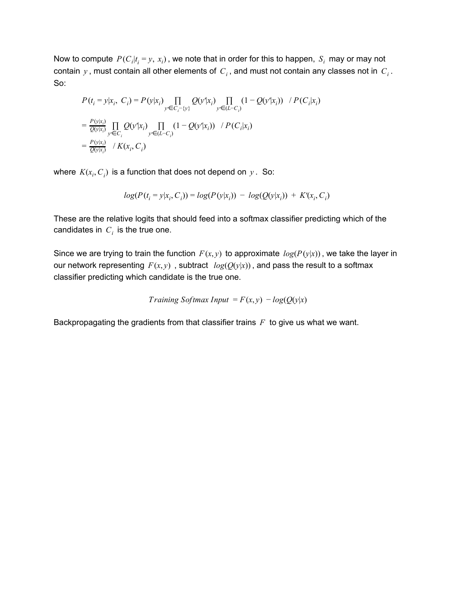Now to compute  $\textit{P}(C_i|t_i=y,~x_i)$  , we note that in order for this to happen,  $\textit{S}_i$  may or may not contain  $y$  , must contain all other elements of  $\,C_i$  , and must not contain any classes not in  $\,C_i$  . So:

$$
P(t_i = y | x_i, C_i) = P(y | x_i) \prod_{y' \in C_i - \{y\}} Q(y' | x_i) \prod_{y' \in (L - C_i)} (1 - Q(y' | x_i)) / P(C_i | x_i)
$$
  
=  $\frac{P(y | x_i)}{Q(y x_i)} \prod_{y' \in C_i} Q(y' | x_i) \prod_{y' \in (L - C_i)} (1 - Q(y' | x_i)) / P(C_i | x_i)$   
=  $\frac{P(y | x_i)}{Q(y x_i)} / K(x_i, C_i)$ 

where  $K(x_i, C_i)$  is a function that does not depend on  $y$ . So:

$$
log(P(t_i = y | x_i, C_i)) = log(P(y | x_i)) - log(Q(y | x_i)) + K'(x_i, C_i)
$$

These are the relative logits that should feed into a softmax classifier predicting which of the candidates in  $C_i$  is the true one.

Since we are trying to train the function  $F(x, y)$  to approximate  $log(P(y|x))$ , we take the layer in our network representing  $F(x, y)$ , subtract  $log(Q(y|x))$ , and pass the result to a softmax classifier predicting which candidate is the true one.

Training Softmax Input = 
$$
F(x, y) - log(Q(y|x))
$$

Backpropagating the gradients from that classifier trains *F* to give us what we want.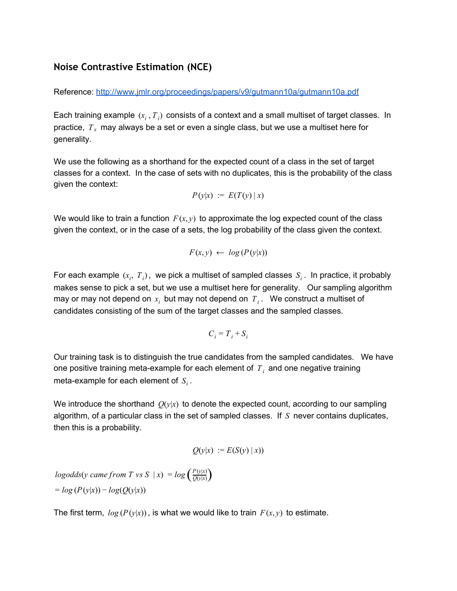#### **Noise Contrastive Estimation (NCE)**

Reference: <http://www.jmlr.org/proceedings/papers/v9/gutmann10a/gutmann10a.pdf>

Each training example  $(x_i, T_i)$  consists of a context and a small multiset of target classes. In practice, *T<sup>x</sup>* may always be a set or even a single class, but we use a multiset here for generality.

We use the following as a shorthand for the expected count of a class in the set of target classes for a context. In the case of sets with no duplicates, this is the probability of the class given the context:

$$
P(y|x) := E(T(y) | x)
$$

We would like to train a function  $F(x, y)$  to approximate the log expected count of the class given the context, or in the case of a sets, the log probability of the class given the context.

$$
F(x, y) \leftarrow \log(P(y|x))
$$

For each example  $(x_i, T_i)$ , we pick a multiset of sampled classes  $S_i$ . In practice, it probably makes sense to pick a set, but we use a multiset here for generality. Our sampling algorithm may or may not depend on  $x_i$  but may not depend on  $\overline{T}_i$  . We construct a multiset of candidates consisting of the sum of the target classes and the sampled classes.

$$
C_i = T_i + S_i
$$

Our training task is to distinguish the true candidates from the sampled candidates. We have one positive training meta-example for each element of  $T_i$  and one negative training meta-example for each element of  $S_i$  .

We introduce the shorthand  $O(y|x)$  to denote the expected count, according to our sampling algorithm, of a particular class in the set of sampled classes. If *S* never contains duplicates, then this is a probability.

$$
Q(y|x) := E(S(y) | x))
$$

 $logodds(y \text{ came from } T \text{ vs } S \mid x) = log\left(\frac{P(y|x)}{Q(y|x)}\right)$  $=$  $log(P(y|x)) - log(Q(y|x))$ 

The first term,  $log(P(y|x))$ , is what we would like to train  $F(x, y)$  to estimate.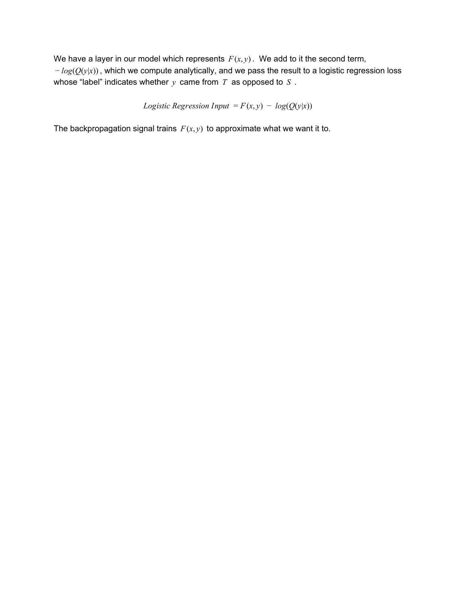We have a layer in our model which represents  $F(x, y)$ . We add to it the second term, − *log*(*Q*(*y*|*x*)) , which we compute analytically, and we pass the result to a logistic regression loss whose "label" indicates whether *y* came from *T* as opposed to *S* .

*Logistic Regression Input* = 
$$
F(x, y) - log(Q(y|x))
$$

The backpropagation signal trains  $F(x, y)$  to approximate what we want it to.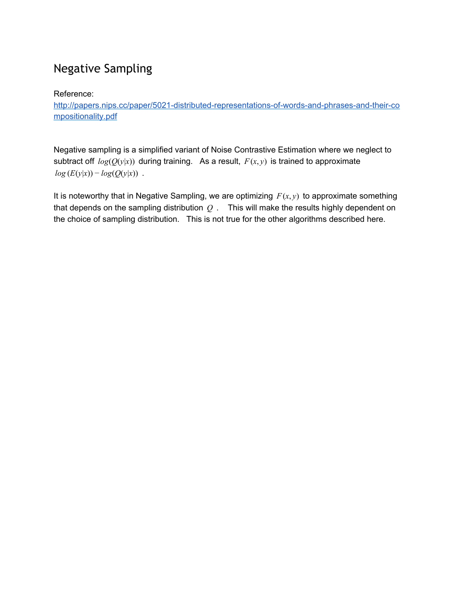# Negative Sampling

Reference:

http://papers.nips.cc/paper/5021-distributed-representations-of-words-and-phrases-and-their-co [mpositionality.pdf](http://papers.nips.cc/paper/5021-distributed-representations-of-words-and-phrases-and-their-compositionality.pdf)

Negative sampling is a simplified variant of Noise Contrastive Estimation where we neglect to subtract off  $log(Q(y|x))$  during training. As a result,  $F(x, y)$  is trained to approximate  $log(E(y|x)) - log(Q(y|x))$ .

It is noteworthy that in Negative Sampling, we are optimizing  $F(x, y)$  to approximate something that depends on the sampling distribution *Q* . This will make the results highly dependent on the choice of sampling distribution. This is not true for the other algorithms described here.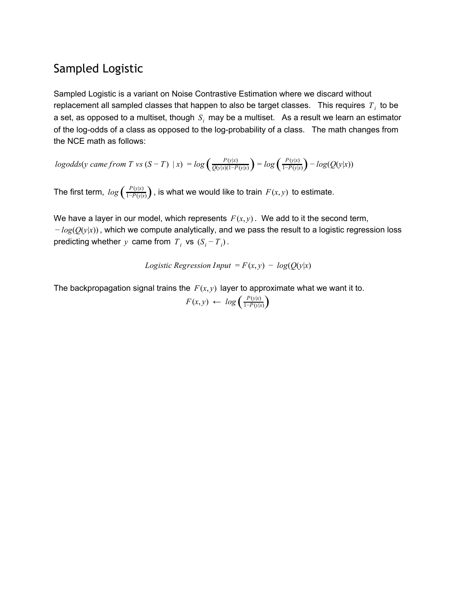#### Sampled Logistic

Sampled Logistic is a variant on Noise Contrastive Estimation where we discard without replacement all sampled classes that happen to also be target classes.  $\,$  This requires  $\,T_{\,i}\,$  to be a set, as opposed to a multiset, though  $\,S_{i}\,$  may be a multiset.  $\,$  As a result we learn an estimator of the log-odds of a class as opposed to the log-probability of a class. The math changes from the NCE math as follows:

$$
logodds(y \text{ came from } T \text{ vs } (S - T) \mid x) = log\left(\frac{P(y|x)}{Q(y|x)(1 - P(y|x)}\right) = log\left(\frac{P(y|x)}{1 - P(y|x)}\right) - log(Q(y|x))
$$

The first term,  $log\left(\frac{P(y|x)}{1-P(y|x)}\right)$ , is what we would like to train  $F(x, y)$  to estimate.

We have a layer in our model, which represents  $F(x, y)$ . We add to it the second term, − *log*(*Q*(*y*|*x*)) , which we compute analytically, and we pass the result to a logistic regression loss predicting whether *y* came from  $T_i$  vs  $(S_i - T_i)$ .

*Logistic Regression Input* = 
$$
F(x, y) - log(Q(y|x))
$$

The backpropagation signal trains the  $F(x, y)$  layer to approximate what we want it to.

$$
F(x,y) \leftarrow \log\left(\frac{P(y|x)}{1-P(y|x)}\right)
$$